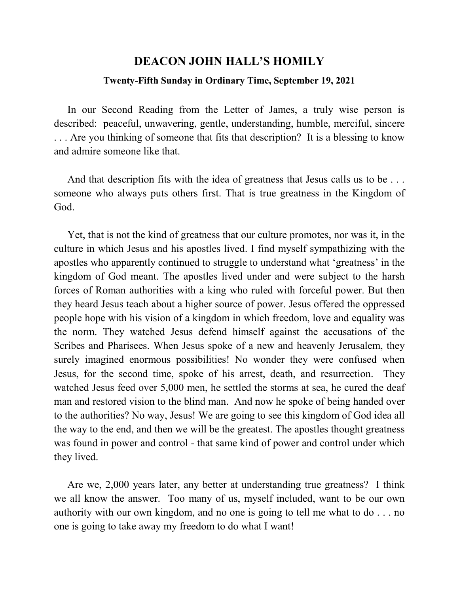## **DEACON JOHN HALL'S HOMILY**

## **Twenty-Fifth Sunday in Ordinary Time, September 19, 2021**

 In our Second Reading from the Letter of James, a truly wise person is described: peaceful, unwavering, gentle, understanding, humble, merciful, sincere . . . Are you thinking of someone that fits that description? It is a blessing to know and admire someone like that.

And that description fits with the idea of greatness that Jesus calls us to be ... someone who always puts others first. That is true greatness in the Kingdom of God.

 Yet, that is not the kind of greatness that our culture promotes, nor was it, in the culture in which Jesus and his apostles lived. I find myself sympathizing with the apostles who apparently continued to struggle to understand what 'greatness' in the kingdom of God meant. The apostles lived under and were subject to the harsh forces of Roman authorities with a king who ruled with forceful power. But then they heard Jesus teach about a higher source of power. Jesus offered the oppressed people hope with his vision of a kingdom in which freedom, love and equality was the norm. They watched Jesus defend himself against the accusations of the Scribes and Pharisees. When Jesus spoke of a new and heavenly Jerusalem, they surely imagined enormous possibilities! No wonder they were confused when Jesus, for the second time, spoke of his arrest, death, and resurrection. They watched Jesus feed over 5,000 men, he settled the storms at sea, he cured the deaf man and restored vision to the blind man. And now he spoke of being handed over to the authorities? No way, Jesus! We are going to see this kingdom of God idea all the way to the end, and then we will be the greatest. The apostles thought greatness was found in power and control - that same kind of power and control under which they lived.

 Are we, 2,000 years later, any better at understanding true greatness? I think we all know the answer. Too many of us, myself included, want to be our own authority with our own kingdom, and no one is going to tell me what to do . . . no one is going to take away my freedom to do what I want!